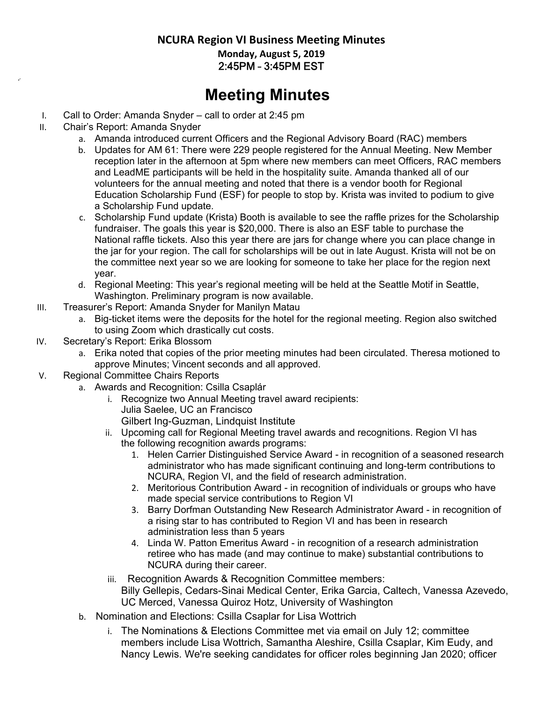## **NCURA Region VI Business Meeting Minutes Monday, August 5, 2019**  2:45PM – 3:45PM EST

## **Meeting Minutes**

- I. Call to Order: Amanda Snyder call to order at 2:45 pm
- II. Chair's Report: Amanda Snyder
	- a. Amanda introduced current Officers and the Regional Advisory Board (RAC) members
	- b. Updates for AM 61: There were 229 people registered for the Annual Meeting. New Member reception later in the afternoon at 5pm where new members can meet Officers, RAC members and LeadME participants will be held in the hospitality suite. Amanda thanked all of our volunteers for the annual meeting and noted that there is a vendor booth for Regional Education Scholarship Fund (ESF) for people to stop by. Krista was invited to podium to give a Scholarship Fund update.
	- c. Scholarship Fund update (Krista) Booth is available to see the raffle prizes for the Scholarship fundraiser. The goals this year is \$20,000. There is also an ESF table to purchase the National raffle tickets. Also this year there are jars for change where you can place change in the jar for your region. The call for scholarships will be out in late August. Krista will not be on the committee next year so we are looking for someone to take her place for the region next year.
	- d. Regional Meeting: This year's regional meeting will be held at the Seattle Motif in Seattle, Washington. Preliminary program is now available.
- III. Treasurer's Report: Amanda Snyder for Manilyn Matau
	- a. Big-ticket items were the deposits for the hotel for the regional meeting. Region also switched to using Zoom which drastically cut costs.
- IV. Secretary's Report: Erika Blossom
	- a. Erika noted that copies of the prior meeting minutes had been circulated. Theresa motioned to approve Minutes; Vincent seconds and all approved.
- V. Regional Committee Chairs Reports
	- a. Awards and Recognition: Csilla Csaplár
		- i. Recognize two Annual Meeting travel award recipients: Julia Saelee, UC an Francisco Gilbert Ing-Guzman, Lindquist Institute
		- ii. Upcoming call for Regional Meeting travel awards and recognitions. Region VI has the following recognition awards programs:
			- 1. Helen Carrier Distinguished Service Award in recognition of a seasoned research administrator who has made significant continuing and long-term contributions to NCURA, Region VI, and the field of research administration.
			- 2. Meritorious Contribution Award in recognition of individuals or groups who have made special service contributions to Region VI
			- 3. Barry Dorfman Outstanding New Research Administrator Award in recognition of a rising star to has contributed to Region VI and has been in research administration less than 5 years
			- 4. Linda W. Patton Emeritus Award in recognition of a research administration retiree who has made (and may continue to make) substantial contributions to NCURA during their career.
		- iii. Recognition Awards & Recognition Committee members: Billy Gellepis, Cedars-Sinai Medical Center, Erika Garcia, Caltech, Vanessa Azevedo, UC Merced, Vanessa Quiroz Hotz, University of Washington
	- b. Nomination and Elections: Csilla Csaplar for Lisa Wottrich
		- i. The Nominations & Elections Committee met via email on July 12; committee members include Lisa Wottrich, Samantha Aleshire, Csilla Csaplar, Kim Eudy, and Nancy Lewis. We're seeking candidates for officer roles beginning Jan 2020; officer